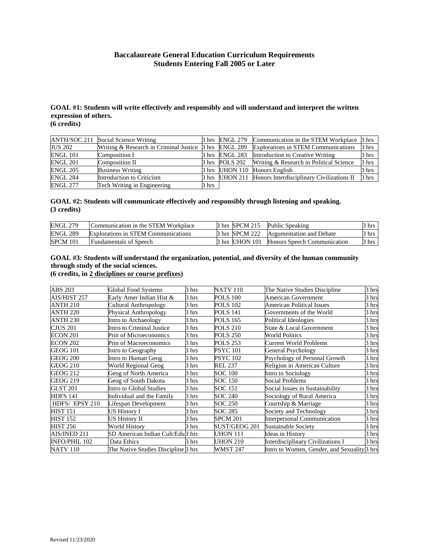## **Baccalaureate General Education Curriculum Requirements Students Entering Fall 2005 or Later**

#### **GOAL #1: Students will write effectively and responsibly and will understand and interpret the written expression of others. (6 credits)**

| ANTH/SOC 211    | Social Science Writing                                | 3 hrs | <b>ENGL 279</b>  | Communication in the STEM Workplace                      | 3 hrs |
|-----------------|-------------------------------------------------------|-------|------------------|----------------------------------------------------------|-------|
| <b>JUS 202</b>  | Writing & Research in Criminal Justice 3 hrs ENGL 289 |       |                  | <b>Explorations in STEM Communications</b>               | 3 hrs |
| <b>ENGL 101</b> | Composition I                                         | 3 hrs | ENGL 283         | Introduction to Creative Writing                         | 3 hrs |
| <b>ENGL 201</b> | Composition II                                        | 3 hrs | <b>POLS 202</b>  | Writing & Research in Political Science                  | 3 hrs |
| <b>ENGL 205</b> | <b>Business Writing</b>                               |       | 3 hrs   UHON 110 | Honors English                                           | 3 hrs |
| ENGL 284        | Introduction to Criticism                             |       |                  | 3 hrs UHON 211 Honors Interdisciplinary Civilizations II | 3 hrs |
| <b>ENGL 277</b> | Tech Writing in Engineering                           | 3 hrs |                  |                                                          |       |

### **GOAL #2: Students will communicate effectively and responsibly through listening and speaking. (3 credits)**

| <b>ENGL 279</b> | Communication in the STEM Workplace | 3 hrs SPCM 215  | Public Speaking                    | hrs               |
|-----------------|-------------------------------------|-----------------|------------------------------------|-------------------|
| <b>ENGL 289</b> | Explorations in STEM Communications | 3 hrs ISPCM 222 | Argumentation and Debate           | $3 \text{ hrs}$   |
| <b>SPCM 101</b> | <b>Fundamentals of Speech</b>       | 3 hrs UHON 101  | <b>Honors Speech Communication</b> | $\frac{3}{1}$ hrs |

# **GOAL #3: Students will understand the organization, potential, and diversity of the human community through study of the social sciences.**

**(6 credits, in 2 disciplines or course prefixes)** 

| ABS 203              | <b>Global Food Systems</b>          | 3 hrs | <b>NATV 110</b> | The Native Studies Discipline                          | 3 hrs |
|----------------------|-------------------------------------|-------|-----------------|--------------------------------------------------------|-------|
| AIS/HIST 257         | Early Amer Indian Hist &            | 3 hrs | <b>POLS 100</b> | American Government                                    | 3 hrs |
| <b>ANTH 210</b>      | Cultural Anthropology               | 3 hrs | <b>POLS 102</b> | <b>American Political Issues</b>                       | 3 hrs |
| <b>ANTH 220</b>      | Physical Anthropology               | 3 hrs | <b>POLS 141</b> | Governments of the World                               | 3 hrs |
| <b>ANTH 230</b>      | Intro to Archaeology                | 3 hrs | <b>POLS 165</b> | Political Ideologies                                   | 3 hrs |
| CJUS 201             | Intro to Criminal Justice           | 3 hrs | <b>POLS 210</b> | State & Local Government                               | 3 hrs |
| ECON 201             | Prin of Microeconomics              | 3 hrs | <b>POLS 250</b> | <b>World Politics</b>                                  | 3 hrs |
| ECON 202             | Prin of Macroeconomics              | 3 hrs | <b>POLS 253</b> | <b>Current World Problems</b>                          | 3 hrs |
| GEOG 101             | Intro to Geography                  | 3 hrs | <b>PSYC</b> 101 | General Psychology                                     | 3 hrs |
| GEOG 200             | Intro to Human Geog                 | 3 hrs | <b>PSYC</b> 102 | Psychology of Personal Growth                          | 3 hrs |
| <b>GEOG 210</b>      | World Regional Geog                 | 3 hrs | <b>REL 237</b>  | Religion in American Culture                           | 3 hrs |
| <b>GEOG 212</b>      | Geog of North America               | 3 hrs | SOC 100         | Intro to Sociology                                     | 3 hrs |
| GEOG 219             | Geog of South Dakota                | 3 hrs | SOC 150         | Social Problems                                        | 3 hrs |
| <b>GLST 201</b>      | Intro to Global Studies             | 3 hrs | <b>SOC 151</b>  | Social Issues in Sustainability                        | 3 hrs |
| <b>HDFS 141</b>      | Individual and the Family           | 3 hrs | SOC 240         | Sociology of Rural America                             | 3 hrs |
| HDFS/EPSY 210        | Lifespan Development                | 3 hrs | SOC 250         | Courtship & Marriage                                   | 3 hrs |
| <b>HIST 151</b>      | US History I                        | 3 hrs | SOC 285         | Society and Technology                                 | 3 hrs |
| <b>HIST 152</b>      | US History II                       | 3 hrs | <b>SPCM 201</b> | <b>Interpersonal Communication</b>                     | 3 hrs |
| <b>HIST 256</b>      | World History                       | 3 hrs | SUST/GEOG 201   | Sustainable Society                                    | 3 hrs |
| AIS/INED 211         | SD American Indian Cult/Edul3 hrs   |       | UHON 111        | Ideas in History                                       | 3 hrs |
| <b>INFO/PHIL 102</b> | Data Ethics                         | 3 hrs | <b>UHON 210</b> | <b>Interdisciplinary Civilizations I</b>               | 3 hrs |
| <b>NATV 110</b>      | The Native Studies Discipline 3 hrs |       | <b>WMST 247</b> | Intro to Women, Gender, and Sexuality <sup>3</sup> hrs |       |